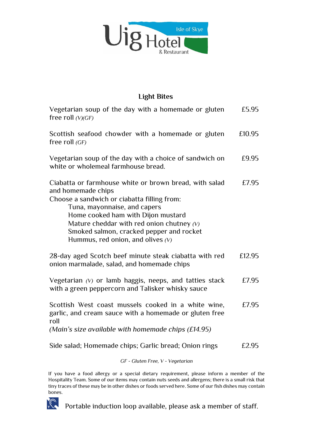

## **Light Bites**

| Vegetarian soup of the day with a homemade or gluten<br>free roll $(V)(GF)$                                                                                                                                                                                                                                                         | £5.95  |
|-------------------------------------------------------------------------------------------------------------------------------------------------------------------------------------------------------------------------------------------------------------------------------------------------------------------------------------|--------|
| Scottish seafood chowder with a homemade or gluten<br>free roll $(GF)$                                                                                                                                                                                                                                                              | £10.95 |
| Vegetarian soup of the day with a choice of sandwich on<br>white or wholemeal farmhouse bread.                                                                                                                                                                                                                                      | £9.95  |
| Ciabatta or farmhouse white or brown bread, with salad<br>and homemade chips<br>Choose a sandwich or ciabatta filling from:<br>Tuna, mayonnaise, and capers<br>Home cooked ham with Dijon mustard<br>Mature cheddar with red onion chutney $(V)$<br>Smoked salmon, cracked pepper and rocket<br>Hummus, red onion, and olives $(V)$ | £7.95  |
| 28-day aged Scotch beef minute steak ciabatta with red<br>onion marmalade, salad, and homemade chips                                                                                                                                                                                                                                | £12.95 |
| Vegetarian $(V)$ or lamb haggis, neeps, and tatties stack<br>with a green peppercorn and Talisker whisky sauce                                                                                                                                                                                                                      | £7.95  |
| Scottish West coast mussels cooked in a white wine,<br>garlic, and cream sauce with a homemade or gluten free<br>roll<br>(Main's size available with homemade chips $(E14.95)$ )                                                                                                                                                    | £7.95  |
| Side salad; Homemade chips; Garlic bread; Onion rings                                                                                                                                                                                                                                                                               | £2.95  |
| GF - Gluten Free, V - Vegetarian                                                                                                                                                                                                                                                                                                    |        |

If you have a food allergy or a special dietary requirement, please inform a member of the Hospitality Team. Some of our items may contain nuts seeds and allergens; there is a small risk that tiny traces of these may be in other dishes or foods served here. Some of our fish dishes may contain bones.



Portable induction loop available, please ask a member of staff.